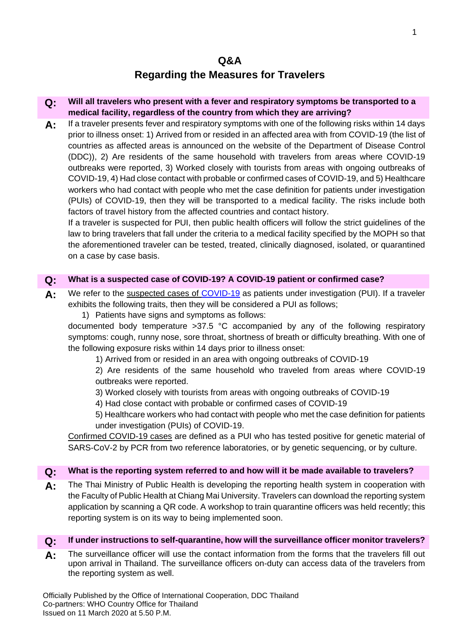# **Regarding the Measures for Travelers**

# **Q: Will all travelers who present with a fever and respiratory symptoms be transported to a medical facility, regardless of the country from which they are arriving?**

A: If a traveler presents fever and respiratory symptoms with one of the following risks within 14 days prior to illness onset: 1) Arrived from or resided in an affected area with from COVID-19 (the list of countries as affected areas is announced on the website of the Department of Disease Control (DDC)), 2) Are residents of the same household with travelers from areas where COVID-19 outbreaks were reported, 3) Worked closely with tourists from areas with ongoing outbreaks of COVID-19, 4) Had close contact with probable or confirmed cases of COVID-19, and 5) Healthcare workers who had contact with people who met the case definition for patients under investigation (PUIs) of COVID-19, then they will be transported to a medical facility. The risks include both factors of travel history from the affected countries and contact history.

If a traveler is suspected for PUI, then public health officers will follow the strict guidelines of the law to bring travelers that fall under the criteria to a medical facility specified by the MOPH so that the aforementioned traveler can be tested, treated, clinically diagnosed, isolated, or quarantined on a case by case basis.

# **Q: What is a suspected case of COVID-19? A COVID-19 patient or confirmed case?**

- **A:** We refer to the suspected cases of [COVID-19](#page-4-0) as patients under investigation (PUI). If a traveler exhibits the following traits, then they will be considered a PUI as follows;
	- 1) Patients have signs and symptoms as follows:

documented body temperature >37.5 °C accompanied by any of the following respiratory symptoms: cough, runny nose, sore throat, shortness of breath or difficulty breathing. With one of the following exposure risks within 14 days prior to illness onset:

1) Arrived from or resided in an area with ongoing outbreaks of COVID-19

2) Are residents of the same household who traveled from areas where COVID-19 outbreaks were reported.

- 3) Worked closely with tourists from areas with ongoing outbreaks of COVID-19
- 4) Had close contact with probable or confirmed cases of COVID-19

5) Healthcare workers who had contact with people who met the case definition for patients under investigation (PUIs) of COVID-19.

Confirmed COVID-19 cases are defined as a PUI who has tested positive for genetic material of SARS-CoV-2 by PCR from two reference laboratories, or by genetic sequencing, or by culture.

## **Q: What is the reporting system referred to and how will it be made available to travelers?**

**A:** The Thai Ministry of Public Health is developing the reporting health system in cooperation with the Faculty of Public Health at Chiang Mai University. Travelers can download the reporting system application by scanning a QR code. A workshop to train quarantine officers was held recently; this reporting system is on its way to being implemented soon.

## **Q: If under instructions to self-quarantine, how will the surveillance officer monitor travelers?**

**A:** The surveillance officer will use the contact information from the forms that the travelers fill out upon arrival in Thailand. The surveillance officers on-duty can access data of the travelers from the reporting system as well.

Officially Published by the Office of International Cooperation, DDC Thailand Co-partners: WHO Country Office for Thailand Issued on 11 March 2020 at 5.50 P.M.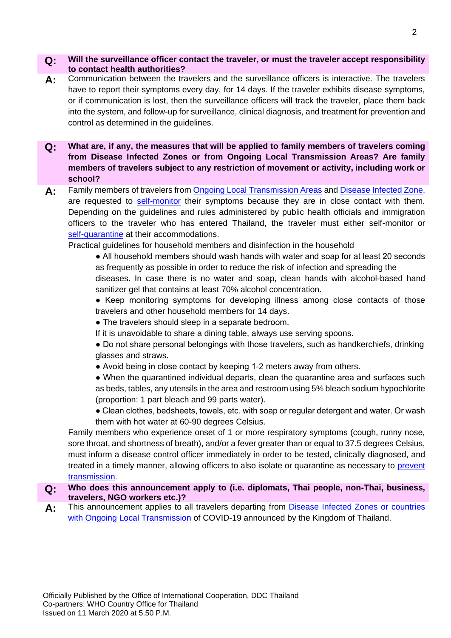#### **Q: Will the surveillance officer contact the traveler, or must the traveler accept responsibility to contact health authorities?**

- **A:** Communication between the travelers and the surveillance officers is interactive. The travelers have to report their symptoms every day, for 14 days. If the traveler exhibits disease symptoms, or if communication is lost, then the surveillance officers will track the traveler, place them back into the system, and follow-up for surveillance, clinical diagnosis, and treatment for prevention and control as determined in the guidelines.
- **Q: What are, if any, the measures that will be applied to family members of travelers coming from Disease Infected Zones or from Ongoing Local Transmission Areas? Are family members of travelers subject to any restriction of movement or activity, including work or school?**
- A: Family members of travelers from **Ongoing Local Transmission Areas and Disease Infected Zone**, are requested to [self-monitor](#page-4-3) their symptoms because they are in close contact with them. Depending on the guidelines and rules administered by public health officials and immigration officers to the traveler who has entered Thailand, the traveler must either self-monitor or [self-quarantine](#page-4-4) at their accommodations.

Practical guidelines for household members and disinfection in the household

● All household members should wash hands with water and soap for at least 20 seconds as frequently as possible in order to reduce the risk of infection and spreading the

diseases. In case there is no water and soap, clean hands with alcohol-based hand sanitizer gel that contains at least 70% alcohol concentration.

● Keep monitoring symptoms for developing illness among close contacts of those travelers and other household members for 14 days.

- The travelers should sleep in a separate bedroom.
- If it is unavoidable to share a dining table, always use serving spoons.
- Do not share personal belongings with those travelers, such as handkerchiefs, drinking glasses and straws.
- Avoid being in close contact by keeping 1-2 meters away from others.

• When the quarantined individual departs, clean the quarantine area and surfaces such as beds, tables, any utensils in the area and restroom using 5% bleach sodium hypochlorite (proportion: 1 part bleach and 99 parts water).

• Clean clothes, bedsheets, towels, etc. with soap or regular detergent and water. Or wash them with hot water at 60-90 degrees Celsius.

Family members who experience onset of 1 or more respiratory symptoms (cough, runny nose, sore throat, and shortness of breath), and/or a fever greater than or equal to 37.5 degrees Celsius, must inform a disease control officer immediately in order to be tested, clinically diagnosed, and treated in a timely manner, allowing officers to also isolate or quarantine as necessary to prevent [transmission.](#page-4-5)

- **Q: Who does this announcement apply to (i.e. diplomats, Thai people, non-Thai, business, travelers, NGO workers etc.)?**
- A: This announcement applies to all travelers departing from [Disease Infected Zones](#page-4-2) or countries [with Ongoing Local Transmission](#page-4-1) of COVID-19 announced by the Kingdom of Thailand.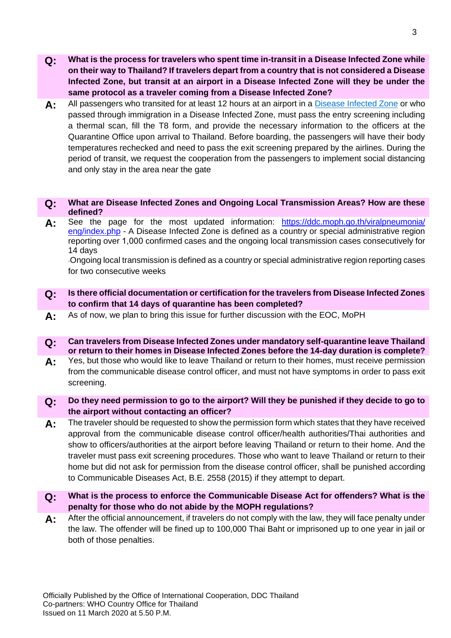- **Q: What is the process for travelers who spent time in-transit in a Disease Infected Zone while on their way to Thailand? If travelers depart from a country that is not considered a Disease Infected Zone, but transit at an airport in a Disease Infected Zone will they be under the same protocol as a traveler coming from a Disease Infected Zone?**
- **A:** All passengers who transited for at least 12 hours at an airport in a [Disease Infected Zone](#page-4-2) or who passed through immigration in a Disease Infected Zone, must pass the entry screening including a thermal scan, fill the T8 form, and provide the necessary information to the officers at the Quarantine Office upon arrival to Thailand. Before boarding, the passengers will have their body temperatures rechecked and need to pass the exit screening prepared by the airlines. During the period of transit, we request the cooperation from the passengers to implement social distancing and only stay in the area near the gate

#### **Q: What are Disease Infected Zones and Ongoing Local Transmission Areas? How are these defined?**

**A:** See the page for the most updated information: [https://ddc.moph.go.th/viralpneumonia/](https://ddc.moph.go.th/viralpneumonia/%20eng/index.php) [eng/index.php](https://ddc.moph.go.th/viralpneumonia/%20eng/index.php) - A Disease Infected Zone is defined as a country or special administrative region reporting over 1,000 confirmed cases and the ongoing local transmission cases consecutively for 14 days

-Ongoing local transmission is defined as a country or special administrative region reporting cases for two consecutive weeks

- **Q: Is there official documentation or certification for the travelers from Disease Infected Zones to confirm that 14 days of quarantine has been completed?**
- **A:** As of now, we plan to bring this issue for further discussion with the EOC, MoPH
- **Q: Can travelers from Disease Infected Zones under mandatory self-quarantine leave Thailand or return to their homes in Disease Infected Zones before the 14-day duration is complete?**
- A: Yes, but those who would like to leave Thailand or return to their homes, must receive permission from the communicable disease control officer, and must not have symptoms in order to pass exit screening.
- **Q: Do they need permission to go to the airport? Will they be punished if they decide to go to the airport without contacting an officer?**
- **A:** The traveler should be requested to show the permission form which states that they have received approval from the communicable disease control officer/health authorities/Thai authorities and show to officers/authorities at the airport before leaving Thailand or return to their home. And the traveler must pass exit screening procedures. Those who want to leave Thailand or return to their home but did not ask for permission from the disease control officer, shall be punished according to Communicable Diseases Act, B.E. 2558 (2015) if they attempt to depart.
- **Q: What is the process to enforce the Communicable Disease Act for offenders? What is the penalty for those who do not abide by the MOPH regulations?**
- **A:** After the official announcement, if travelers do not comply with the law, they will face penalty under the law. The offender will be fined up to 100,000 Thai Baht or imprisoned up to one year in jail or both of those penalties.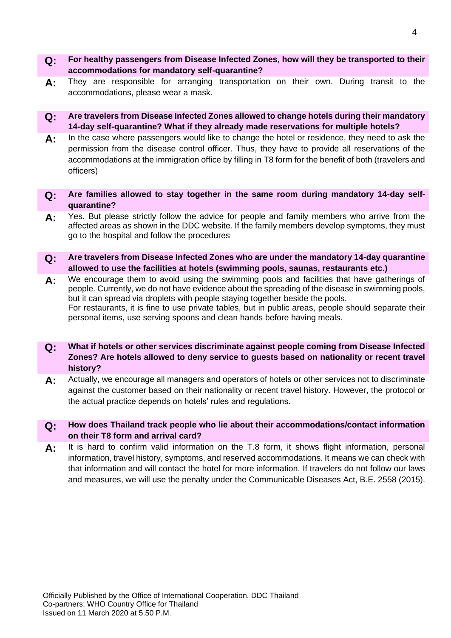- **Q: For healthy passengers from Disease Infected Zones, how will they be transported to their accommodations for mandatory self-quarantine?**
- **A:** They are responsible for arranging transportation on their own. During transit to the accommodations, please wear a mask.
- **Q: Are travelers from Disease Infected Zones allowed to change hotels during their mandatory 14-day self-quarantine? What if they already made reservations for multiple hotels?**
- **A:** In the case where passengers would like to change the hotel or residence, they need to ask the permission from the disease control officer. Thus, they have to provide all reservations of the accommodations at the immigration office by filling in T8 form for the benefit of both (travelers and officers)
- **Q: Are families allowed to stay together in the same room during mandatory 14-day selfquarantine?**
- **A:** Yes. But please strictly follow the advice for people and family members who arrive from the affected areas as shown in the DDC website. If the family members develop symptoms, they must go to the hospital and follow the procedures
- **Q: Are travelers from Disease Infected Zones who are under the mandatory 14-day quarantine allowed to use the facilities at hotels (swimming pools, saunas, restaurants etc.)**
- **A:** We encourage them to avoid using the swimming pools and facilities that have gatherings of people. Currently, we do not have evidence about the spreading of the disease in swimming pools, but it can spread via droplets with people staying together beside the pools. For restaurants, it is fine to use private tables, but in public areas, people should separate their personal items, use serving spoons and clean hands before having meals.
- **Q: What if hotels or other services discriminate against people coming from Disease Infected Zones? Are hotels allowed to deny service to guests based on nationality or recent travel history?**
- **A:** Actually, we encourage all managers and operators of hotels or other services not to discriminate against the customer based on their nationality or recent travel history. However, the protocol or the actual practice depends on hotels' rules and regulations.
- **Q: How does Thailand track people who lie about their accommodations/contact information on their T8 form and arrival card?**
- A: It is hard to confirm valid information on the T.8 form, it shows flight information, personal information, travel history, symptoms, and reserved accommodations. It means we can check with that information and will contact the hotel for more information. If travelers do not follow our laws and measures, we will use the penalty under the Communicable Diseases Act, B.E. 2558 (2015).